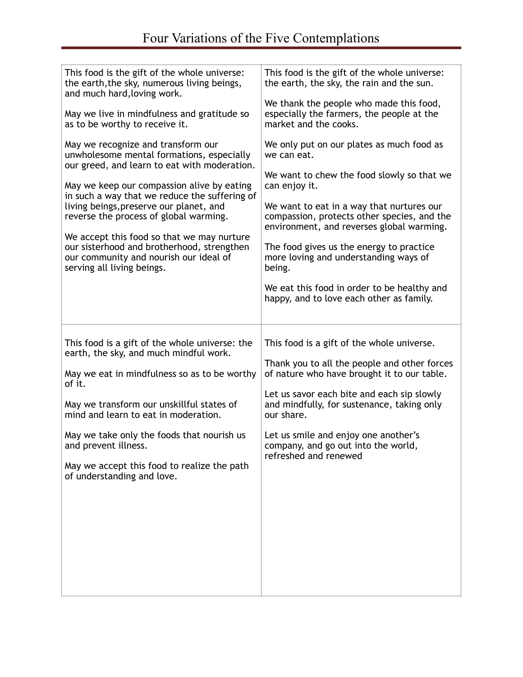| This food is the gift of the whole universe:<br>the earth, the sky, numerous living beings,<br>and much hard, loving work.<br>May we live in mindfulness and gratitude so<br>as to be worthy to receive it.<br>May we recognize and transform our<br>unwholesome mental formations, especially<br>our greed, and learn to eat with moderation.<br>May we keep our compassion alive by eating<br>in such a way that we reduce the suffering of<br>living beings, preserve our planet, and<br>reverse the process of global warming.<br>We accept this food so that we may nurture<br>our sisterhood and brotherhood, strengthen<br>our community and nourish our ideal of<br>serving all living beings. | This food is the gift of the whole universe:<br>the earth, the sky, the rain and the sun.<br>We thank the people who made this food,<br>especially the farmers, the people at the<br>market and the cooks.<br>We only put on our plates as much food as<br>we can eat.<br>We want to chew the food slowly so that we<br>can enjoy it.<br>We want to eat in a way that nurtures our<br>compassion, protects other species, and the<br>environment, and reverses global warming.<br>The food gives us the energy to practice<br>more loving and understanding ways of<br>being.<br>We eat this food in order to be healthy and<br>happy, and to love each other as family. |
|--------------------------------------------------------------------------------------------------------------------------------------------------------------------------------------------------------------------------------------------------------------------------------------------------------------------------------------------------------------------------------------------------------------------------------------------------------------------------------------------------------------------------------------------------------------------------------------------------------------------------------------------------------------------------------------------------------|--------------------------------------------------------------------------------------------------------------------------------------------------------------------------------------------------------------------------------------------------------------------------------------------------------------------------------------------------------------------------------------------------------------------------------------------------------------------------------------------------------------------------------------------------------------------------------------------------------------------------------------------------------------------------|
| This food is a gift of the whole universe: the<br>earth, the sky, and much mindful work.<br>May we eat in mindfulness so as to be worthy<br>of it.<br>May we transform our unskillful states of<br>mind and learn to eat in moderation.<br>May we take only the foods that nourish us<br>and prevent illness.<br>May we accept this food to realize the path<br>of understanding and love.                                                                                                                                                                                                                                                                                                             | This food is a gift of the whole universe.<br>Thank you to all the people and other forces<br>of nature who have brought it to our table.<br>Let us savor each bite and each sip slowly<br>and mindfully, for sustenance, taking only<br>our share.<br>Let us smile and enjoy one another's<br>company, and go out into the world,<br>refreshed and renewed                                                                                                                                                                                                                                                                                                              |